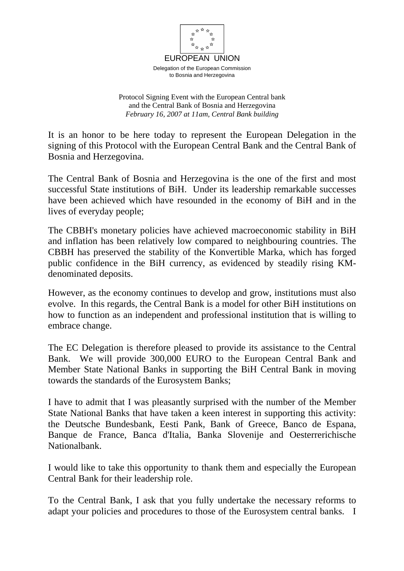

EUROPEAN UNION Delegation of the European Commission to Bosnia and Herzegovina

Protocol Signing Event with the European Central bank and the Central Bank of Bosnia and Herzegovina *February 16, 2007 at 11am, Central Bank building* 

It is an honor to be here today to represent the European Delegation in the signing of this Protocol with the European Central Bank and the Central Bank of Bosnia and Herzegovina.

The Central Bank of Bosnia and Herzegovina is the one of the first and most successful State institutions of BiH. Under its leadership remarkable successes have been achieved which have resounded in the economy of BiH and in the lives of everyday people;

The CBBH's monetary policies have achieved macroeconomic stability in BiH and inflation has been relatively low compared to neighbouring countries. The CBBH has preserved the stability of the Konvertible Marka, which has forged public confidence in the BiH currency, as evidenced by steadily rising KMdenominated deposits.

However, as the economy continues to develop and grow, institutions must also evolve. In this regards, the Central Bank is a model for other BiH institutions on how to function as an independent and professional institution that is willing to embrace change.

The EC Delegation is therefore pleased to provide its assistance to the Central Bank. We will provide 300,000 EURO to the European Central Bank and Member State National Banks in supporting the BiH Central Bank in moving towards the standards of the Eurosystem Banks;

I have to admit that I was pleasantly surprised with the number of the Member State National Banks that have taken a keen interest in supporting this activity: the Deutsche Bundesbank, Eesti Pank, Bank of Greece, Banco de Espana, Banque de France, Banca d'Italia, Banka Slovenije and Oesterrerichische Nationalbank.

I would like to take this opportunity to thank them and especially the European Central Bank for their leadership role.

To the Central Bank, I ask that you fully undertake the necessary reforms to adapt your policies and procedures to those of the Eurosystem central banks. I